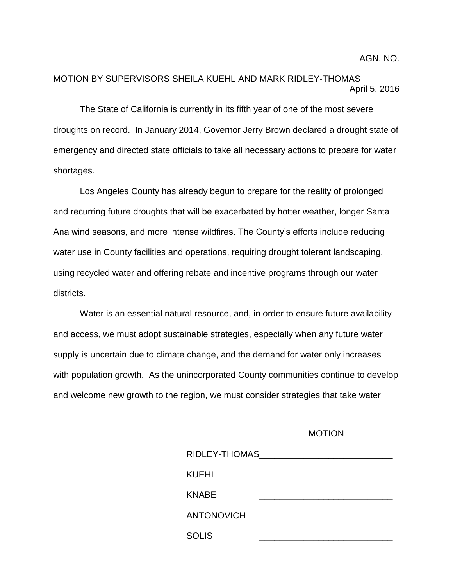## MOTION BY SUPERVISORS SHEILA KUEHL AND MARK RIDLEY-THOMAS April 5, 2016

The State of California is currently in its fifth year of one of the most severe droughts on record. In January 2014, Governor Jerry Brown declared a drought state of emergency and directed state officials to take all necessary actions to prepare for water shortages.

Los Angeles County has already begun to prepare for the reality of prolonged and recurring future droughts that will be exacerbated by hotter weather, longer Santa Ana wind seasons, and more intense wildfires. The County's efforts include reducing water use in County facilities and operations, requiring drought tolerant landscaping, using recycled water and offering rebate and incentive programs through our water districts.

Water is an essential natural resource, and, in order to ensure future availability and access, we must adopt sustainable strategies, especially when any future water supply is uncertain due to climate change, and the demand for water only increases with population growth. As the unincorporated County communities continue to develop and welcome new growth to the region, we must consider strategies that take water

## MOTION

| RIDLEY-THOMAS     |  |  |
|-------------------|--|--|
| KUEHL             |  |  |
| KNABE             |  |  |
| <b>ANTONOVICH</b> |  |  |
| <b>SOLIS</b>      |  |  |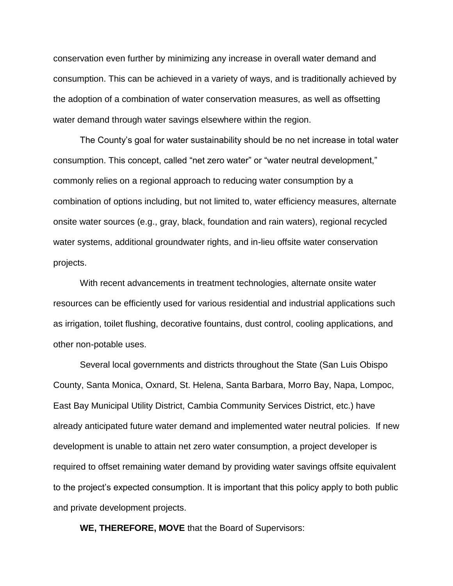conservation even further by minimizing any increase in overall water demand and consumption. This can be achieved in a variety of ways, and is traditionally achieved by the adoption of a combination of water conservation measures, as well as offsetting water demand through water savings elsewhere within the region.

The County's goal for water sustainability should be no net increase in total water consumption. This concept, called "net zero water" or "water neutral development," commonly relies on a regional approach to reducing water consumption by a combination of options including, but not limited to, water efficiency measures, alternate onsite water sources (e.g., gray, black, foundation and rain waters), regional recycled water systems, additional groundwater rights, and in-lieu offsite water conservation projects.

With recent advancements in treatment technologies, alternate onsite water resources can be efficiently used for various residential and industrial applications such as irrigation, toilet flushing, decorative fountains, dust control, cooling applications, and other non-potable uses.

Several local governments and districts throughout the State (San Luis Obispo County, Santa Monica, Oxnard, St. Helena, Santa Barbara, Morro Bay, Napa, Lompoc, East Bay Municipal Utility District, Cambia Community Services District, etc.) have already anticipated future water demand and implemented water neutral policies. If new development is unable to attain net zero water consumption, a project developer is required to offset remaining water demand by providing water savings offsite equivalent to the project's expected consumption. It is important that this policy apply to both public and private development projects.

**WE, THEREFORE, MOVE** that the Board of Supervisors: